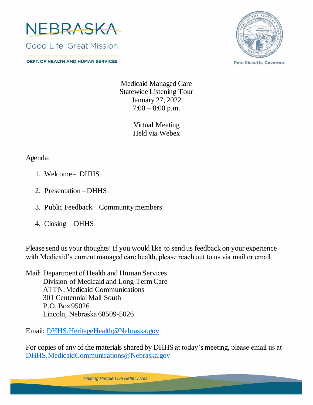

**DEPT. OF HEALTH AND HUMAN SERVICES** 



**Pete Ricketts, Governor** 

Medicaid Managed Care Statewide Listening Tour January 27, 2022  $7:00 - 8:00$  p.m.

> Virtual Meeting Held via Webex

Agenda:

- 1. Welcome DHHS
- 2. Presentation DHHS
- 3. Public Feedback Community members
- 4. Closing DHHS

Please send us your thoughts! If you would like to send us feedback on your experience with Medicaid's current managed care health, please reach out to us via mail or email.

Mail: Department of Health and Human Services Division of Medicaid and Long-Term Care ATTN: Medicaid Communications 301 Centennial Mall South P.O. Box 95026 Lincoln, Nebraska 68509-5026

Email: [DHHS.HeritageHealth@Nebraska.gov](mailto:DHHS.HeritageHealth@Nebraska.gov)

For copies of any of the materials shared by DHHS at today's meeting, please email us at [DHHS.MedicaidCommunications@Nebraska.gov](mailto:DHHS.MedicaidCommunications@Nebraska.gov)

**Helping People Live Better Lives**